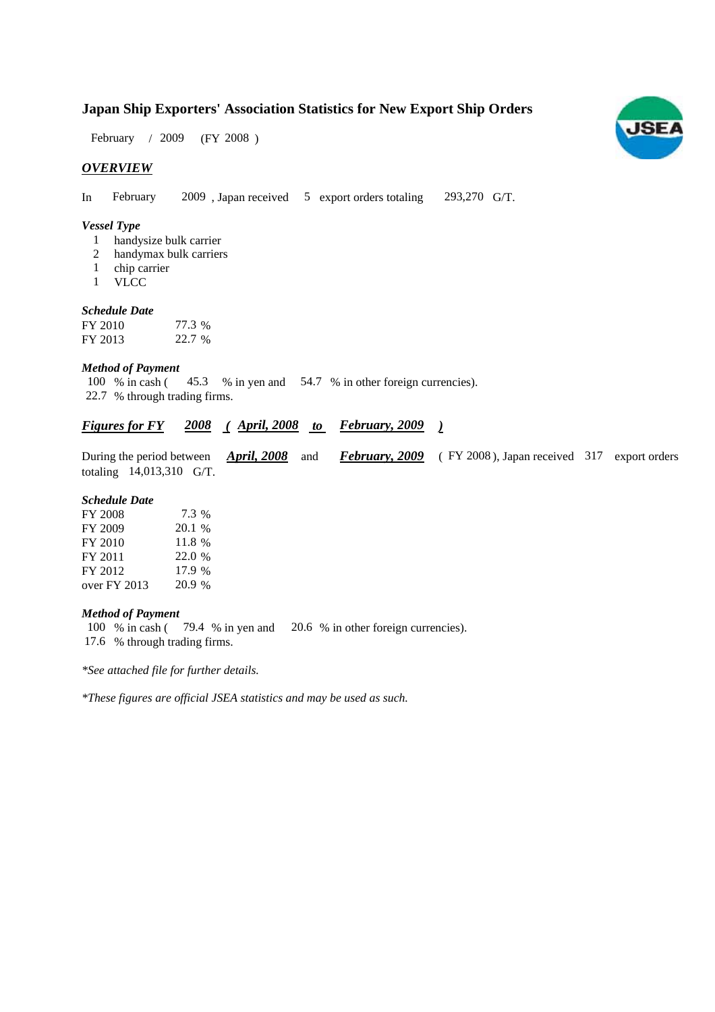## **Japan Ship Exporters' Association Statistics for New Export Ship Orders**

 $(FY 2008)$ February / 2009

#### *OVERVIEW*

In February 2009, Japan received  $\overline{5}$  export orders totaling 293,270 G/T.

#### *Vessel Type*

- handysize bulk carrier 1
- handymax bulk carriers 2
- chip carrier 1
- VLCC 1

### *Schedule Date*

| FY 2010 | 77.3 % |
|---------|--------|
| FY 2013 | 22.7 % |

#### *Method of Payment*

100 % in cash (45.3 % in yen and 54.7 % in other foreign currencies). 22.7 % through trading firms.

### *Figures for FY* 2008 (*April, 2008 to February, 2009* )

During the period between *April, 2008* and *February, 2009* (FY 2008), Japan received 317 export orders totaling 14,013,310 G/T.

#### *Schedule Date*

| FY 2008        | 7.3 %  |
|----------------|--------|
| FY 2009        | 20.1 % |
| FY 2010        | 11.8 % |
| FY 2011        | 22.0 % |
| FY 2012        | 17.9 % |
| over $FY$ 2013 | 20.9 % |

#### *Method of Payment*

100 % in cash (79.4 % in yen and 20.6 % in other foreign currencies). % through trading firms. 17.6

*\*See attached file for further details.*

*\*These figures are official JSEA statistics and may be used as such.*

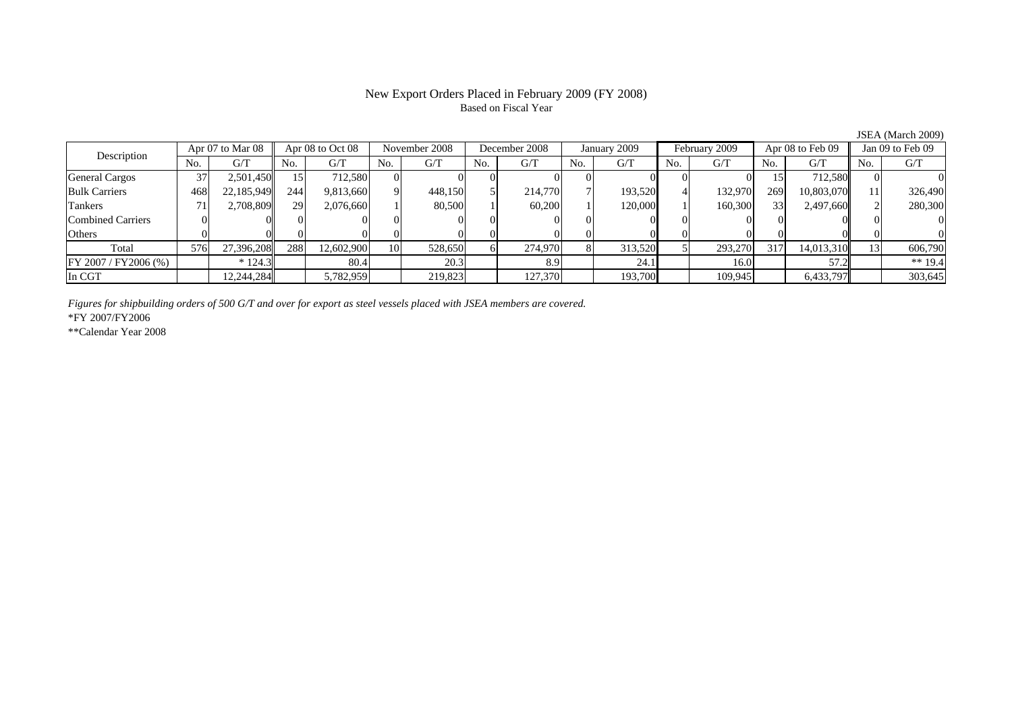#### New Export Orders Placed in February 2009 (FY 2008) Based on Fiscal Year

No. G/T No. G/T No. G/T No. G/T No. G/T No. G/T No. G/T No. G/TGeneral Cargos | 37| 2,501,450|| 15| 712,580| 0| 0| 0| 0| 0| 0| 0| 0| 0| 0| 0| 15| 712,580|| 0| 0 Bulk Carriers | 468| 22,185,949|| 244| 9,813,660| 9| 448,150| 5| 214,770| 7| 193,520| 4| 132,970| 269| 10,803,070|| 11| 326,490 Tankers | 71| 2,708,809|| 29| 2,076,660| 1| 80,500| 1| 60,200| 1| 120,000| 1| 160,300| 33| 2,497,660|| 2| 280,300 Combined Carriers 0 0 0 0 0 0 0 0 0 0 0 0 0 0 0 0Others 0 0 0 0 0 0 0 0 0 0 0 0 0 0 0 0 $\mathbf{0}$ Total 576 27,396,208 288 12,602,900 10 528,650 6 274,970 8 313,520 5 293,270 317 14,013,310 13 606,790 FY 2007 / FY2006 (%) \* 124.3 80.4 20.3 8.9 24.1 16.0 57.2 \*\* 19.4 In CGT | | 12,244,284| | 5,782,959| | 219,823| | 127,370| | 193,700| | 109,945| | 6,433,797|| | 303,645 Description Apr 07 to Mar 08 Apr 08 to Oct 08 November 2008 December 2008 January 2009 February 2009 Apr 08 to Feb 09 Jan 09 to Feb 09

*Figures for shipbuilding orders of 500 G/T and over for export as steel vessels placed with JSEA members are covered.*

\*FY 2007/FY2006

\*\*Calendar Year 2008

JSEA (March 2009)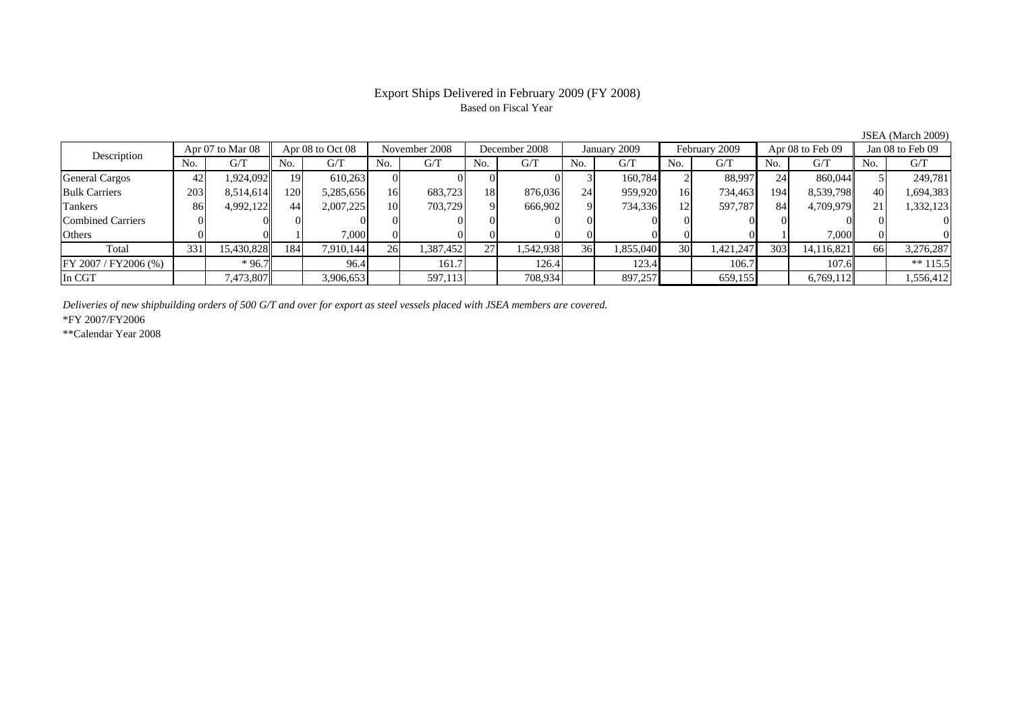# Based on Fiscal Year

No. I G/T II No. I G/T II No. I G/T II No. I G/T G/T II No. I G/T II No. I G/T II No. I G/T II No. I G/T II No  $\mathrm{G}/\mathrm{T}$ General Cargos 42 1,924,092 19 610,263 0 0 0 0 3 160,784 2 88,997 24 860,044 5 249,781 Bulk Carriers 203 8,514,614 120 5,285,656 16 683,723 18 876,036 24 959,920 16 734,463 194 8,539,798 40 1,694,383 Tankers 86 4,992,122 44 2,007,225 10 703,729 9 666,902 9 734,336 12 597,787 84 4,709,979 21 1,332,123 Combined Carriers 0 0 0 0 0 0 0 0 0 0 0 0 0 0 0 0Others 0 0 1 7,000 0 0 0 0 0 0 0 0 1 7,000 0 0 Total 331 15,430,828 184 7,910,144 26 1,387,452 27 1,542,938 36 1,855,040 30 1,421,247 303 14,116,821 66 3,276,287 FY 2007 / FY2006 (%) | \*96.7 | 96.4 | 161.7 | 126.4 | 123.4 | 106.7 | 107.6 | \*\* 115.5 In CGT | | 7,473,807 || | 3,906,653 | | 597,113 | | 708,934 | | 897,257 | | 659,155 | | 6,769,112 | | 1,556,412 December 2008Description Apr 07 to Mar 08 Apr 08 to Oct 08 November 2008 December 200<br>No. 6/T No. 6/T No. 6/T No. 6/T No. 6/T Apr 07 to Mar 08 | Apr 08 to Oct 08 | November 2008 | December 2008 | January 2009 | February 2009 | Apr 08 to Feb 09 || Jan 08 to Feb 09

*Deliveries of new shipbuilding orders of 500 G/T and over for export as steel vessels placed with JSEA members are covered.*

\*FY 2007/FY2006

\*\*Calendar Year 2008

JSEA (March 2009)

# Export Ships Delivered in February 2009 (FY 2008)